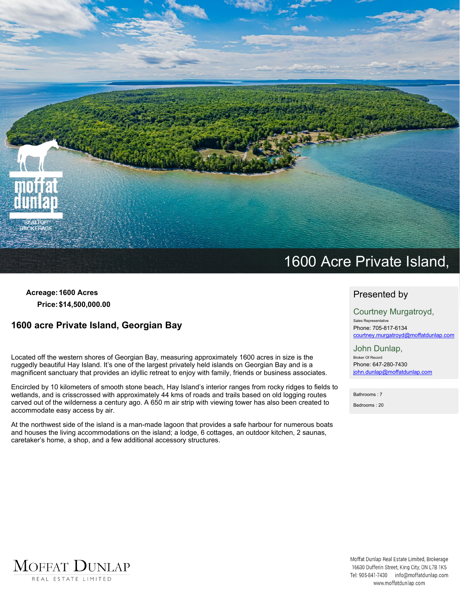

**Acreage:1600 Acres Price:\$14,500,000.00**

# **1600 acre Private Island, Georgian Bay**

**Located off the western shores of Georgian Bay, measuring approximately 1600 acres in size is the** ruggedly beautiful Hay Island. It's one of the largest privately held islands on Georgian Bay and is a **magnificent sanctuary that provides an idyllic retreat to enjoy with family, friends or business associates.**

Encircled by 10 kilometers of smooth stone beach, Hay Island's interior ranges from rocky ridges to fields to **wetlands, and is crisscrossed with approximately 44 kms of roads and trails based on old logging routes** carved out of the wilderness a century ago. A 650 m air strip with viewing tower has also been created to **accommodate easy access by air.**

At the northwest side of the island is a man-made lagoon that provides a safe harbour for numerous boats **and houses the living accommodations on the island; a lodge, 6 cottages, an outdoor kitchen, 2 saunas, caretaker's home, a shop, and a few additional accessory structures.**

### **Presented by**

**Courtney Murgatroyd, Sales Representative Phone: 705-817-6134 courtney.murgatroyd@moffatdunlap.com**

**John Dunlap, Broker Of Record Phone: 647-280-7430 john.dunlap@moffatdunlap.com**

**Bathrooms :7 Bedrooms : 20**

MOFFAT DUNLAP REAL ESTATE LIMITED

Moffat Dunlap Real Estate Limited, Brokerage 16630 Dufferin Street, King City, ON L7B 1K5 Tel: 905-841-7430 info@moffatdunlap.com www.moffatdunlap.com